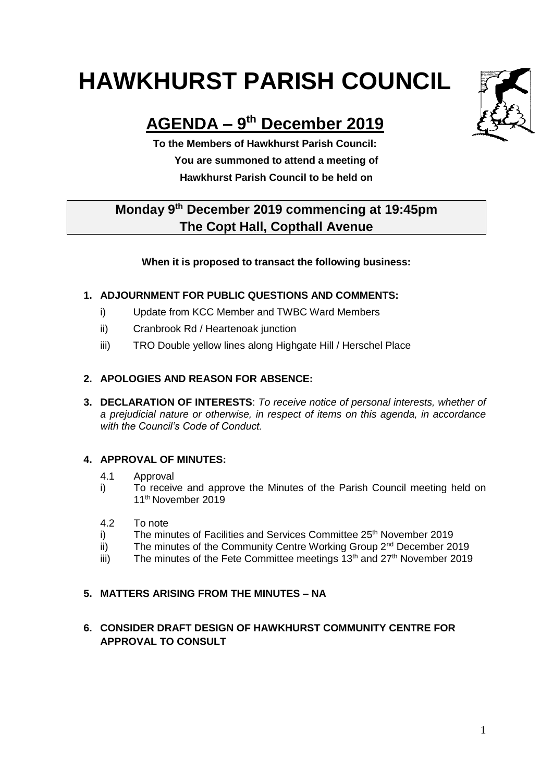# **HAWKHURST PARISH COUNCIL**

## **AGENDA – 9 th December 2019**

**To the Members of Hawkhurst Parish Council: You are summoned to attend a meeting of Hawkhurst Parish Council to be held on**

### **Monday 9th December 2019 commencing at 19:45pm The Copt Hall, Copthall Avenue**

#### **When it is proposed to transact the following business:**

#### **1. ADJOURNMENT FOR PUBLIC QUESTIONS AND COMMENTS:**

- i) Update from KCC Member and TWBC Ward Members
- ii) Cranbrook Rd / Heartenoak junction
- iii) TRO Double yellow lines along Highgate Hill / Herschel Place

#### **2. APOLOGIES AND REASON FOR ABSENCE:**

**3. DECLARATION OF INTERESTS**: *To receive notice of personal interests, whether of a prejudicial nature or otherwise, in respect of items on this agenda, in accordance with the Council's Code of Conduct.*

#### **4. APPROVAL OF MINUTES:**

- 4.1 Approval
- i) To receive and approve the Minutes of the Parish Council meeting held on 11th November 2019
- 4.2 To note
- i) The minutes of Facilities and Services Committee 25<sup>th</sup> November 2019
- $\overline{ii}$  The minutes of the Community Centre Working Group  $2^{nd}$  December 2019
- iii) The minutes of the Fete Committee meetings  $13<sup>th</sup>$  and  $27<sup>th</sup>$  November 2019

#### **5. MATTERS ARISING FROM THE MINUTES – NA**

#### **6. CONSIDER DRAFT DESIGN OF HAWKHURST COMMUNITY CENTRE FOR APPROVAL TO CONSULT**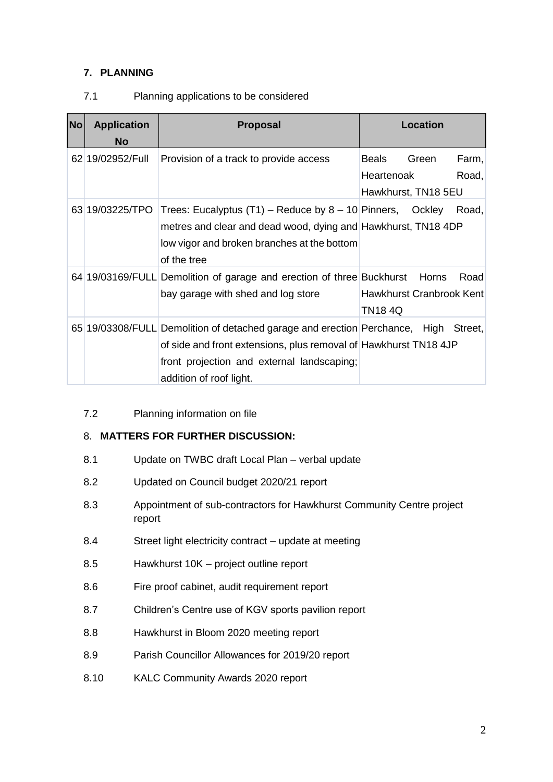#### **7. PLANNING**

#### 7.1 Planning applications to be considered

| <b>No</b> | <b>Application</b><br><b>No</b> | <b>Proposal</b>                                                                                                                                                                                                                  | <b>Location</b>                                                              |
|-----------|---------------------------------|----------------------------------------------------------------------------------------------------------------------------------------------------------------------------------------------------------------------------------|------------------------------------------------------------------------------|
|           | 62 19/02952/Full                | Provision of a track to provide access                                                                                                                                                                                           | Farm,<br><b>Beals</b><br>Green<br>Heartenoak<br>Road,<br>Hawkhurst, TN18 5EU |
|           | 63 19/03225/TPO                 | Trees: Eucalyptus $(T1)$ – Reduce by 8 – 10 Pinners, Ockley<br>metres and clear and dead wood, dying and Hawkhurst, TN18 4DP<br>low vigor and broken branches at the bottom<br>of the tree                                       | Road,                                                                        |
|           |                                 | 64 19/03169/FULL Demolition of garage and erection of three Buckhurst<br>bay garage with shed and log store                                                                                                                      | Road<br>Horns<br><b>Hawkhurst Cranbrook Kent</b><br><b>TN184Q</b>            |
|           |                                 | 65 19/03308/FULL Demolition of detached garage and erection Perchance, High Street,<br>of side and front extensions, plus removal of Hawkhurst TN18 4JP<br>front projection and external landscaping;<br>addition of roof light. |                                                                              |

7.2 Planning information on file

#### 8. **MATTERS FOR FURTHER DISCUSSION:**

- 8.1 Update on TWBC draft Local Plan verbal update
- 8.2 Updated on Council budget 2020/21 report
- 8.3 Appointment of sub-contractors for Hawkhurst Community Centre project report
- 8.4 Street light electricity contract update at meeting
- 8.5 Hawkhurst 10K project outline report
- 8.6 Fire proof cabinet, audit requirement report
- 8.7 Children's Centre use of KGV sports pavilion report
- 8.8 Hawkhurst in Bloom 2020 meeting report
- 8.9 Parish Councillor Allowances for 2019/20 report
- 8.10 KALC Community Awards 2020 report